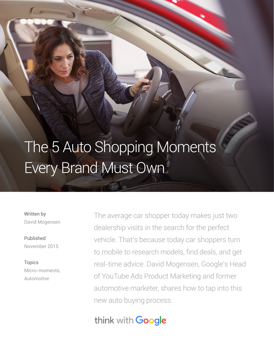# The 5 Auto Shopping Moments Every Brand Must Own

Written by David Mogensen

Published November 2015

**Topics** Micro-moments, Automotive

The average car shopper today makes just two dealership visits in the search for the perfect vehicle. That's because today car shoppers turn to mobile to research models, find deals, and get real-time advice. David Mogensen, Google's Head of YouTube Ads Product Marketing and former automotive marketer, shares how to tap into this new auto buying process.

## think with Google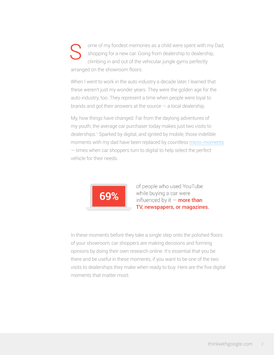ome of my fondest memories as a child were spent with my Dad, shopping for a new car. Going from dealership to dealership, climbing in and out of the vehicular jungle gyms perfectly arranged on the showroom floors. S

When I went to work in the auto industry a decade later, I learned that these weren't just my wonder years. They were the golden age for the auto industry, too. They represent a time when people were loyal to brands and got their answers at the source  $-$  a local dealership.

My, how things have changed. Far from the daylong adventures of my youth, the average car purchaser today makes just two visits to dealerships.1 Sparked by digital, and ignited by mobile, those indelible moments with my dad have been replaced by countless [micro-moments](https://www.thinkwithgoogle.com/micromoments/intro.html) — times when car shoppers turn to digital to help select the perfect vehicle for their needs.



of people who used YouTube while buying a car were influenced by it  $-$  more than TV, newspapers, or magazines.

In these moments before they take a single step onto the polished floors of your showroom, car shoppers are making decisions and forming opinions by doing their own research online. It's essential that you be there and be useful in these moments, if you want to be one of the two visits to dealerships they make when ready to buy. Here are the five digital moments that matter most: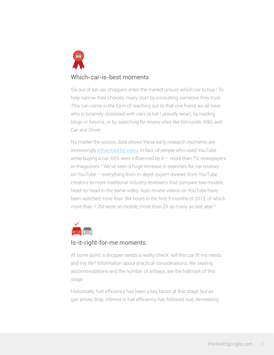

## Which-car-is-best moments

Six out of ten car shoppers enter the market unsure which car to buy.2 To help narrow their choices, many start by consulting someone they trust. This can come in the form of reaching out to that one friend we all have who is bizarrely obsessed with cars (a hat I proudly wear), by reading blogs or forums, or by searching for review sites like Edmunds, KBB, and Car and Driver.

No matter the source, data shows these early research moments are increasingly [influenced by video.](https://www.thinkwithgoogle.com/articles/video-micro-moments-what-do-they-mean-for-your-video-strategy.html) In fact, of people who used YouTube while buying a car, 69% were influenced by it  $-$  more than TV, newspapers or magazines.3 We've seen a huge increase in searches for car reviews on YouTube — everything from in-depth expert reviews from YouTube creators to more traditional industry reviewers that compare two models head-to-head in the same video. Auto review videos on YouTube have been watched more than 3M hours in the first 9 months of 2015, of which more than 1.2M were on mobile, more than 2X as many as last year.<sup>4</sup>



## Is-it-right-for-me moments

At some point, a shopper needs a reality check: will this car fit my needs and my life? Information about practical considerations, like seating accommodations and the number of airbags, are the hallmark of this stage.

Historically, fuel efficiency has been a key factor at this stage, but as gas prices drop, interest in fuel efficiency has followed suit, decreasing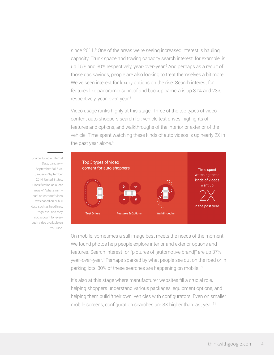since 2011.<sup>5</sup> One of the areas we're seeing increased interest is hauling capacity. Trunk space and towing capacity search interest, for example, is up 15% and 30% respectively, year-over-year.<sup>6</sup> And perhaps as a result of those gas savings, people are also looking to treat themselves a bit more. We've seen interest for luxury options on the rise. Search interest for features like panoramic sunroof and backup camera is up 31% and 23% respectively, year-over-year.<sup>7</sup>

Video usage ranks highly at this stage. Three of the top types of video content auto shoppers search for: vehicle test drives, highlights of features and options, and walkthroughs of the interior or exterior of the vehicle. Time spent watching these kinds of auto videos is up nearly 2X in the past year alone.<sup>8</sup>

Top 3 types of video content for auto shoppers Time spent watching these kinds of videos went up in the past year. **Test Drives Features & Options Walkthroughs** 

On mobile, sometimes a still image best meets the needs of the moment. We found photos help people explore interior and exterior options and features. Search interest for "pictures of [automotive brand]" are up 37% year-over-year.<sup>9</sup> Perhaps sparked by what people see out on the road or in parking lots, 80% of these searches are happening on mobile.<sup>10</sup>

It's also at this stage where manufacturer websites fill a crucial role, helping shoppers understand various packages, equipment options, and helping them build 'their own' vehicles with configurators. Even on smaller mobile screens, configuration searches are 3X higher than last year.<sup>11</sup>

Source: Google Internal Data, January– September 2015 vs. January–September 2014, United States, Classification as a "car review," "what's in my car," or "car tour" video was based on public data such as headlines, tags, etc., and may not account for every such video available on YouTube.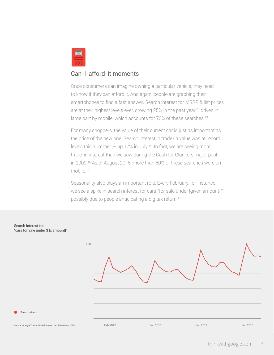

## Can-I-afford-it moments

Once consumers can imagine owning a particular vehicle, they need to know if they can afford it. And again, people are grabbing their smartphones to find a fast answer. Search interest for MSRP & list prices are at their highest levels ever, growing 25% in the past year<sup>12</sup>, driven in large part by mobile, which accounts for 70% of these searches.<sup>13</sup>

For many shoppers, the value of their current car is just as important as the price of the new one. Search interest in trade-in value was at record levels this Summer  $-$  up 17% in July.<sup>14</sup> In fact, we are seeing more trade-in interest than we saw during the Cash for Clunkers major push in 2009.<sup>15</sup> As of August 2015, more than 50% of these searches were on mobile.16

Seasonality also plays an important role. Every February, for instance, we see a spike in search interest for cars "for sale under [given amount]," possibly due to people anticipating a big tax return.17

#### Search Interest for: "cars for sale under \$ [x amount]"



Search Interest

Source: Google Trends United States. Jan 2004-Sept 2015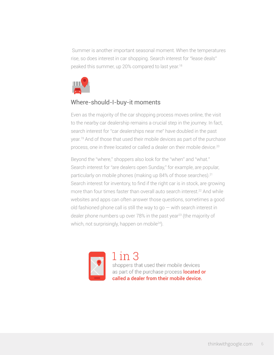Summer is another important seasonal moment. When the temperatures rise, so does interest in car shopping. Search interest for "lease deals" peaked this summer, up 20% compared to last year.<sup>18</sup>



## Where-should-I-buy-it moments

Even as the majority of the car shopping process moves online, the visit to the nearby car dealership remains a crucial step in the journey. In fact, search interest for "car dealerships near me" have doubled in the past year.19 And of those that used their mobile devices as part of the purchase process, one in three located or called a dealer on their mobile device.<sup>20</sup>

Beyond the "where," shoppers also look for the "when" and "what." Search interest for "are dealers open Sunday," for example, are popular, particularly on mobile phones (making up 84% of those searches).<sup>21</sup> Search interest for inventory, to find if the right car is in stock, are growing more than four times faster than overall auto search interest.<sup>22</sup> And while websites and apps can often answer those questions, sometimes a good old fashioned phone call is still the way to go  $-$  with search interest in dealer phone numbers up over 78% in the past year<sup>23</sup> (the majority of which, not surprisingly, happen on mobile<sup>24</sup>).



 $1$  in  $3$ shoppers that used their mobile devices as part of the purchase process located or called a dealer from their mobile device.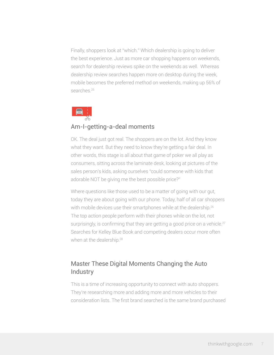Finally, shoppers look at "which." Which dealership is going to deliver the best experience. Just as more car shopping happens on weekends, search for dealership reviews spike on the weekends as well. Whereas dealership review searches happen more on desktop during the week, mobile becomes the preferred method on weekends, making up 56% of searches.<sup>25</sup>



## Am-I-getting-a-deal moments

OK. The deal just got real. The shoppers are on the lot. And they know what they want. But they need to know they're getting a fair deal. In other words, this stage is all about that game of poker we all play as consumers, sitting across the laminate desk, looking at pictures of the sales person's kids, asking ourselves "could someone with kids that adorable NOT be giving me the best possible price?"

Where questions like those used to be a matter of going with our gut, today they are about going with our phone. Today, half of all car shoppers with mobile devices use their smartphones while at the dealership.<sup>26</sup> The top action people perform with their phones while on the lot, not surprisingly, is confirming that they are getting a good price on a vehicle.<sup>27</sup> Searches for Kelley Blue Book and competing dealers occur more often when at the dealership.<sup>28</sup>

## Master These Digital Moments Changing the Auto **Industry**

This is a time of increasing opportunity to connect with auto shoppers. They're researching more and adding more and more vehicles to their consideration lists. The first brand searched is the same brand purchased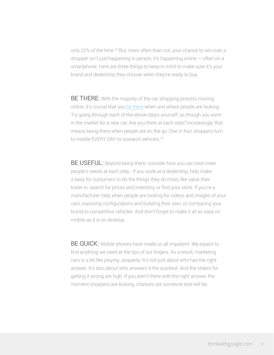only 22% of the time.<sup>29</sup> But, more often than not, your chance to win over a shopper isn't just happening in person, it's happening online — often on a smartphone. Here are three things to keep in mind to make sure it's your brand and dealership they choose when they're ready to buy.

**BE THERE:** With the majority of the car shopping process moving online, it's crucial that you [be there](https://www.thinkwithgoogle.com/articles/being-there-micromoments-especially-mobile.html) when and where people are looking. Try going through each of the above steps yourself, as though you were in the market for a new car. Are you there at each step? Increasingly, that means being there when people are on the go. One in four shoppers turn to mobile EVERY DAY to research vehicles.<sup>30</sup>

**BE USEFUL:** Beyond being there, consider how you can best meet people's needs at each step. If you work at a dealership, help make it easy for customers to do the things they do most, like value their trade-in, search for prices and inventory, or find your store. If you're a manufacturer, help when people are looking for videos and images of your cars, exploring configurations and building their own, or comparing your brand to competitive vehicles. And don't forget to make it all as easy on mobile as it is on desktop.

**BE QUICK:** Mobile phones have made us all impatient. We expect to find anything we need at the tips of our fingers. As a result, marketing cars is a bit like playing Jeopardy. It's not just about who has the right answer. It's also about who answers it the quickest. And the stakes for getting it wrong are high. If you aren't there with the right answer, the moment shoppers are looking, chances are someone else will be.